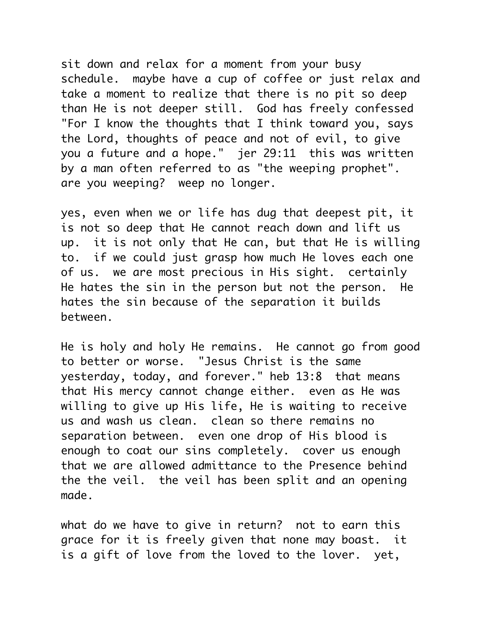sit down and relax for a moment from your busy schedule. maybe have a cup of coffee or just relax and take a moment to realize that there is no pit so deep than He is not deeper still. God has freely confessed "For I know the thoughts that I think toward you, says the Lord, thoughts of peace and not of evil, to give you a future and a hope." jer 29:11 this was written by a man often referred to as "the weeping prophet". are you weeping? weep no longer.

yes, even when we or life has dug that deepest pit, it is not so deep that He cannot reach down and lift us up. it is not only that He can, but that He is willing to. if we could just grasp how much He loves each one of us. we are most precious in His sight. certainly He hates the sin in the person but not the person. He hates the sin because of the separation it builds between.

He is holy and holy He remains. He cannot go from good to better or worse. "Jesus Christ is the same yesterday, today, and forever." heb 13:8 that means that His mercy cannot change either. even as He was willing to give up His life, He is waiting to receive us and wash us clean. clean so there remains no separation between. even one drop of His blood is enough to coat our sins completely. cover us enough that we are allowed admittance to the Presence behind the the veil. the veil has been split and an opening made.

what do we have to give in return? not to earn this grace for it is freely given that none may boast. it is a gift of love from the loved to the lover. yet,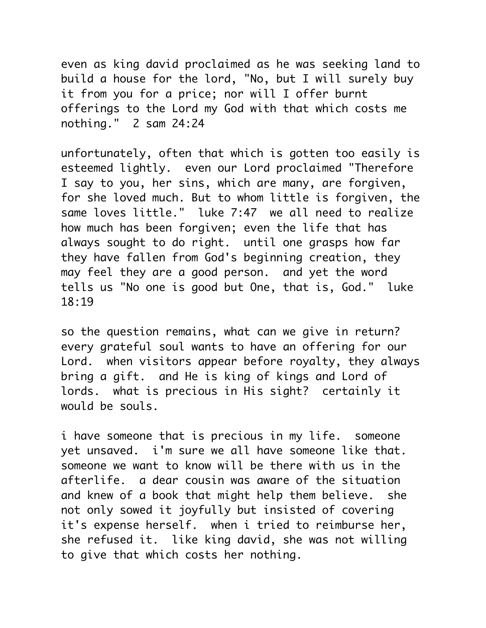even as king david proclaimed as he was seeking land to build a house for the lord, "No, but I will surely buy it from you for a price; nor will I offer burnt offerings to the Lord my God with that which costs me nothing." 2 sam 24:24

unfortunately, often that which is gotten too easily is esteemed lightly. even our Lord proclaimed "Therefore I say to you, her sins, which are many, are forgiven, for she loved much. But to whom little is forgiven, the same loves little." luke 7:47 we all need to realize how much has been forgiven; even the life that has always sought to do right. until one grasps how far they have fallen from God's beginning creation, they may feel they are a good person. and yet the word tells us "No one is good but One, that is, God." luke 18:19

so the question remains, what can we give in return? every grateful soul wants to have an offering for our Lord. when visitors appear before royalty, they always bring a gift. and He is king of kings and Lord of lords. what is precious in His sight? certainly it would be souls.

i have someone that is precious in my life. someone yet unsaved. i'm sure we all have someone like that. someone we want to know will be there with us in the afterlife. a dear cousin was aware of the situation and knew of a book that might help them believe. she not only sowed it joyfully but insisted of covering it's expense herself. when i tried to reimburse her, she refused it. like king david, she was not willing to give that which costs her nothing.